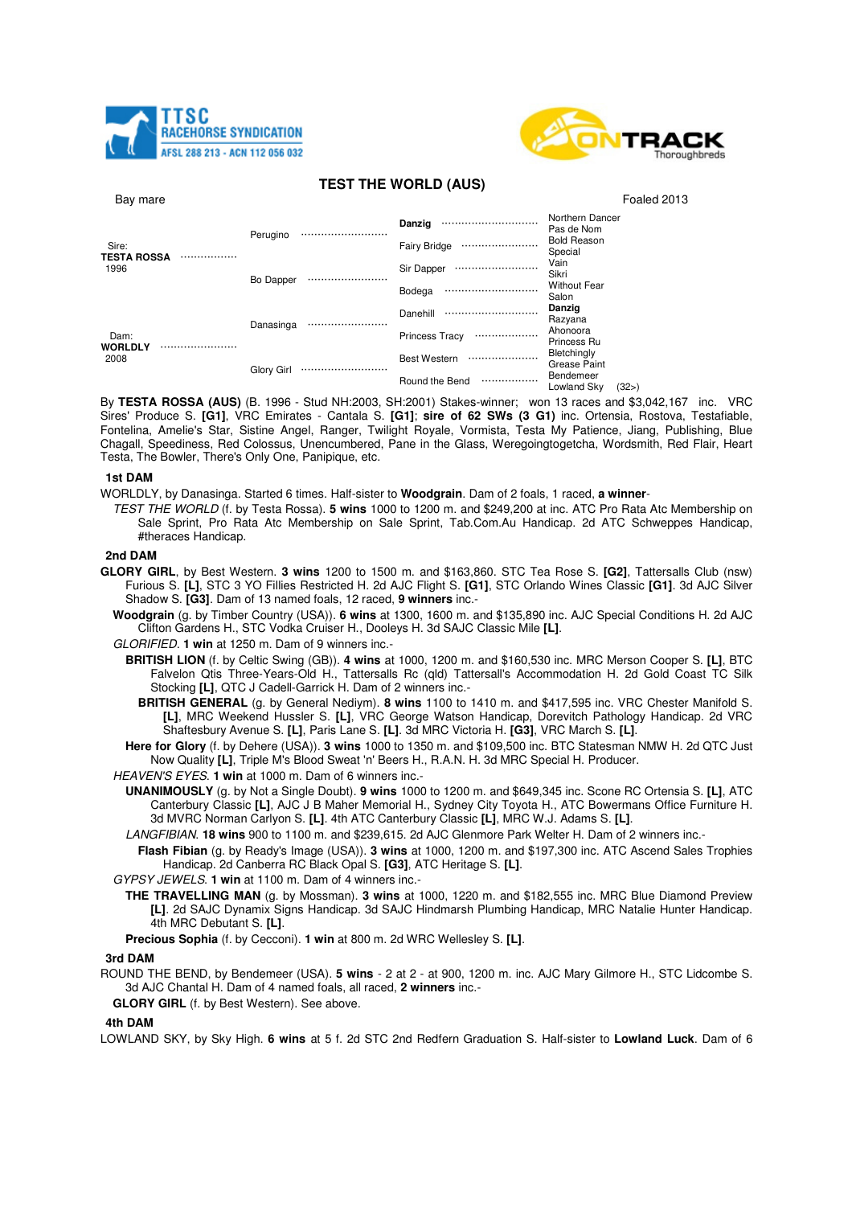



# **TEST THE WORLD (AUS)**

| Bay mare                     |  |            |  |                           | Foaled 2013                      |  |
|------------------------------|--|------------|--|---------------------------|----------------------------------|--|
| Sire:<br>TESTA ROSSA<br>1996 |  | Perugino   |  | Danzig<br>                | Northern Dancer<br>Pas de Nom    |  |
|                              |  |            |  | <b>Fairy Bridge</b><br>   | <b>Bold Reason</b><br>Special    |  |
|                              |  | Bo Dapper  |  | Sir Dapper<br>            | Vain<br>Sikri                    |  |
|                              |  |            |  | Bodega                    | <b>Without Fear</b><br>Salon     |  |
| Dam:<br>WORLDLY<br>2008      |  | Danasinga  |  | Danehill                  | Danzig<br>Razyana                |  |
|                              |  |            |  | <b>Princess Tracy</b><br> | Ahonoora<br>Princess Ru          |  |
|                              |  | Glory Girl |  | <b>Best Western</b><br>   | Bletchingly<br>Grease Paint      |  |
|                              |  |            |  | Round the Bend<br>        | Bendemeer<br>Lowland Sky<br>(32) |  |

By **TESTA ROSSA (AUS)** (B. 1996 - Stud NH:2003, SH:2001) Stakes-winner; won 13 races and \$3,042,167 inc. VRC Sires' Produce S. **[G1]**, VRC Emirates - Cantala S. **[G1]**; **sire of 62 SWs (3 G1)** inc. Ortensia, Rostova, Testafiable, Fontelina, Amelie's Star, Sistine Angel, Ranger, Twilight Royale, Vormista, Testa My Patience, Jiang, Publishing, Blue Chagall, Speediness, Red Colossus, Unencumbered, Pane in the Glass, Weregoingtogetcha, Wordsmith, Red Flair, Heart Testa, The Bowler, There's Only One, Panipique, etc.

### **1st DAM**

- WORLDLY, by Danasinga. Started 6 times. Half-sister to **Woodgrain**. Dam of 2 foals, 1 raced, **a winner**-
	- TEST THE WORLD (f. by Testa Rossa). **5 wins** 1000 to 1200 m. and \$249,200 at inc. ATC Pro Rata Atc Membership on Sale Sprint, Pro Rata Atc Membership on Sale Sprint, Tab.Com.Au Handicap. 2d ATC Schweppes Handicap, #theraces Handicap.

## **2nd DAM**

- **GLORY GIRL**, by Best Western. **3 wins** 1200 to 1500 m. and \$163,860. STC Tea Rose S. **[G2]**, Tattersalls Club (nsw) Furious S. **[L]**, STC 3 YO Fillies Restricted H. 2d AJC Flight S. **[G1]**, STC Orlando Wines Classic **[G1]**. 3d AJC Silver Shadow S. **[G3]**. Dam of 13 named foals, 12 raced, **9 winners** inc.-
	- **Woodgrain** (g. by Timber Country (USA)). **6 wins** at 1300, 1600 m. and \$135,890 inc. AJC Special Conditions H. 2d AJC Clifton Gardens H., STC Vodka Cruiser H., Dooleys H. 3d SAJC Classic Mile **[L]**.
	- GLORIFIED. **1 win** at 1250 m. Dam of 9 winners inc.-
		- **BRITISH LION** (f. by Celtic Swing (GB)). **4 wins** at 1000, 1200 m. and \$160,530 inc. MRC Merson Cooper S. **[L]**, BTC Falvelon Qtis Three-Years-Old H., Tattersalls Rc (qld) Tattersall's Accommodation H. 2d Gold Coast TC Silk Stocking **[L]**, QTC J Cadell-Garrick H. Dam of 2 winners inc.-
			- **BRITISH GENERAL** (g. by General Nediym). **8 wins** 1100 to 1410 m. and \$417,595 inc. VRC Chester Manifold S. **[L]**, MRC Weekend Hussler S. **[L]**, VRC George Watson Handicap, Dorevitch Pathology Handicap. 2d VRC Shaftesbury Avenue S. **[L]**, Paris Lane S. **[L]**. 3d MRC Victoria H. **[G3]**, VRC March S. **[L]**.
	- **Here for Glory** (f. by Dehere (USA)). **3 wins** 1000 to 1350 m. and \$109,500 inc. BTC Statesman NMW H. 2d QTC Just Now Quality **[L]**, Triple M's Blood Sweat 'n' Beers H., R.A.N. H. 3d MRC Special H. Producer.
	- HEAVEN'S EYES. **1 win** at 1000 m. Dam of 6 winners inc.-
		- **UNANIMOUSLY** (g. by Not a Single Doubt). **9 wins** 1000 to 1200 m. and \$649,345 inc. Scone RC Ortensia S. **[L]**, ATC Canterbury Classic **[L]**, AJC J B Maher Memorial H., Sydney City Toyota H., ATC Bowermans Office Furniture H. 3d MVRC Norman Carlyon S. **[L]**. 4th ATC Canterbury Classic **[L]**, MRC W.J. Adams S. **[L]**.
		- LANGFIBIAN. **18 wins** 900 to 1100 m. and \$239,615. 2d AJC Glenmore Park Welter H. Dam of 2 winners inc.-
		- **Flash Fibian** (g. by Ready's Image (USA)). **3 wins** at 1000, 1200 m. and \$197,300 inc. ATC Ascend Sales Trophies Handicap. 2d Canberra RC Black Opal S. **[G3]**, ATC Heritage S. **[L]**.

GYPSY JEWELS. **1 win** at 1100 m. Dam of 4 winners inc.-

**THE TRAVELLING MAN** (g. by Mossman). **3 wins** at 1000, 1220 m. and \$182,555 inc. MRC Blue Diamond Preview **[L]**. 2d SAJC Dynamix Signs Handicap. 3d SAJC Hindmarsh Plumbing Handicap, MRC Natalie Hunter Handicap. 4th MRC Debutant S. **[L]**.

**Precious Sophia** (f. by Cecconi). **1 win** at 800 m. 2d WRC Wellesley S. **[L]**.

### **3rd DAM**

ROUND THE BEND, by Bendemeer (USA). **5 wins** - 2 at 2 - at 900, 1200 m. inc. AJC Mary Gilmore H., STC Lidcombe S. 3d AJC Chantal H. Dam of 4 named foals, all raced, **2 winners** inc.-

**GLORY GIRL** (f. by Best Western). See above.

### **4th DAM**

LOWLAND SKY, by Sky High. **6 wins** at 5 f. 2d STC 2nd Redfern Graduation S. Half-sister to **Lowland Luck**. Dam of 6